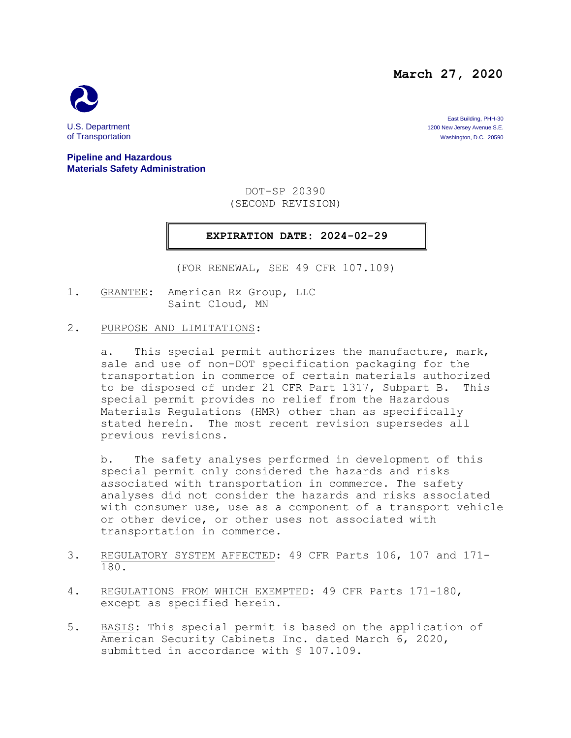**March 27, 2020**



East Building, PHH-30 U.S. Department 1200 New Jersey Avenue S.E.<br>
1200 New Jersey Avenue S.E.<br>
1200 New Jersey Avenue S.E. 20590 Washington, D.C. 20590

#### **Pipeline and Hazardous Materials Safety Administration**

DOT-SP 20390 (SECOND REVISION)

### **EXPIRATION DATE: 2024-02-29**

(FOR RENEWAL, SEE 49 CFR 107.109)

1. GRANTEE: American Rx Group, LLC Saint Cloud, MN

#### 2. PURPOSE AND LIMITATIONS:

a. This special permit authorizes the manufacture, mark, sale and use of non-DOT specification packaging for the transportation in commerce of certain materials authorized to be disposed of under 21 CFR Part 1317, Subpart B. This special permit provides no relief from the Hazardous Materials Regulations (HMR) other than as specifically stated herein. The most recent revision supersedes all previous revisions.

b. The safety analyses performed in development of this special permit only considered the hazards and risks associated with transportation in commerce. The safety analyses did not consider the hazards and risks associated with consumer use, use as a component of a transport vehicle or other device, or other uses not associated with transportation in commerce.

- 3. REGULATORY SYSTEM AFFECTED: 49 CFR Parts 106, 107 and 171- 180.
- 4. REGULATIONS FROM WHICH EXEMPTED: 49 CFR Parts 171-180, except as specified herein.
- 5. BASIS: This special permit is based on the application of American Security Cabinets Inc. dated March 6, 2020, submitted in accordance with § 107.109.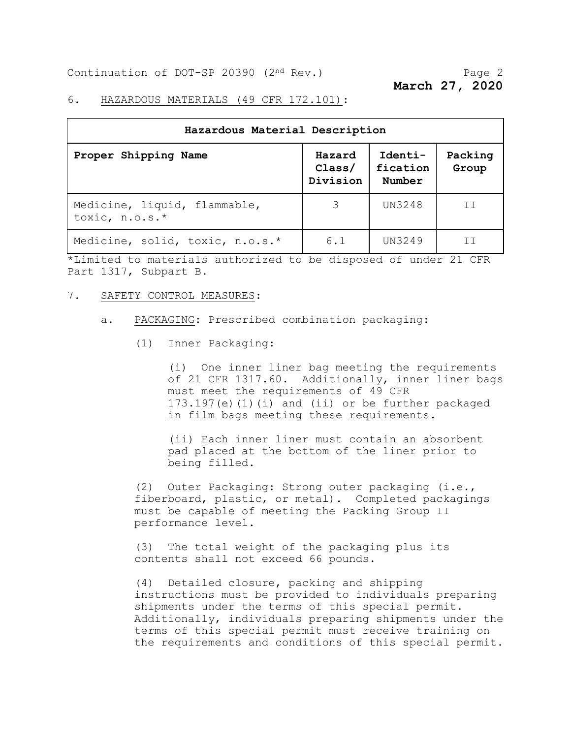Continuation of DOT-SP 20390 (2<sup>nd</sup> Rev.) Page 2

**March 27, 2020**

#### 6. HAZARDOUS MATERIALS (49 CFR 172.101):

| Hazardous Material Description                 |                              |                               |                  |
|------------------------------------------------|------------------------------|-------------------------------|------------------|
| Proper Shipping Name                           | Hazard<br>Class/<br>Division | Identi-<br>fication<br>Number | Packing<br>Group |
| Medicine, liquid, flammable,<br>toxic, n.o.s.* | 3                            | UN3248                        | ΙI               |
| Medicine, solid, toxic, n.o.s.*                | 6.1                          | UN3249                        |                  |

\*Limited to materials authorized to be disposed of under 21 CFR Part 1317, Subpart B.

#### 7. SAFETY CONTROL MEASURES:

- a. PACKAGING: Prescribed combination packaging:
	- (1) Inner Packaging:

(i) One inner liner bag meeting the requirements of 21 CFR 1317.60. Additionally, inner liner bags must meet the requirements of 49 CFR 173.197(e)(1)(i) and (ii) or be further packaged in film bags meeting these requirements.

(ii) Each inner liner must contain an absorbent pad placed at the bottom of the liner prior to being filled.

(2) Outer Packaging: Strong outer packaging (i.e., fiberboard, plastic, or metal). Completed packagings must be capable of meeting the Packing Group II performance level.

(3) The total weight of the packaging plus its contents shall not exceed 66 pounds.

(4) Detailed closure, packing and shipping instructions must be provided to individuals preparing shipments under the terms of this special permit. Additionally, individuals preparing shipments under the terms of this special permit must receive training on the requirements and conditions of this special permit.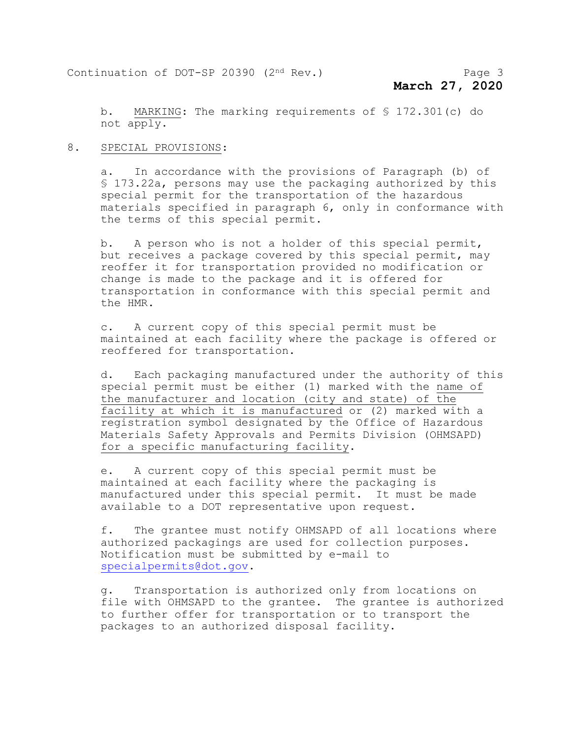b. MARKING: The marking requirements of § 172.301(c) do not apply.

#### 8. SPECIAL PROVISIONS:

a. In accordance with the provisions of Paragraph (b) of § 173.22a, persons may use the packaging authorized by this special permit for the transportation of the hazardous materials specified in paragraph 6, only in conformance with the terms of this special permit.

b. A person who is not a holder of this special permit, but receives a package covered by this special permit, may reoffer it for transportation provided no modification or change is made to the package and it is offered for transportation in conformance with this special permit and the HMR.

c. A current copy of this special permit must be maintained at each facility where the package is offered or reoffered for transportation.

d. Each packaging manufactured under the authority of this special permit must be either (1) marked with the name of the manufacturer and location (city and state) of the facility at which it is manufactured or (2) marked with a registration symbol designated by the Office of Hazardous Materials Safety Approvals and Permits Division (OHMSAPD) for a specific manufacturing facility.

e. A current copy of this special permit must be maintained at each facility where the packaging is manufactured under this special permit. It must be made available to a DOT representative upon request.

f. The grantee must notify OHMSAPD of all locations where authorized packagings are used for collection purposes. Notification must be submitted by e-mail to [specialpermits@dot.gov.](mailto:specialpermits@dot.gov)

g. Transportation is authorized only from locations on file with OHMSAPD to the grantee. The grantee is authorized to further offer for transportation or to transport the packages to an authorized disposal facility.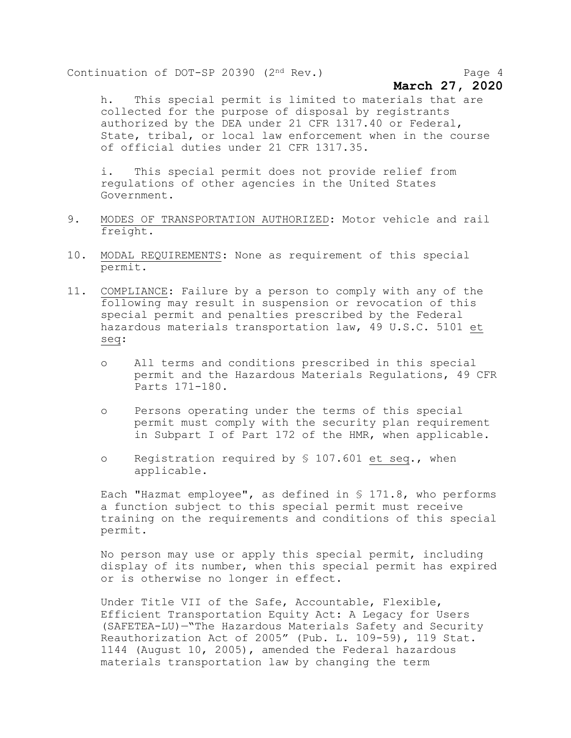Continuation of DOT-SP 20390 (2<sup>nd</sup> Rev.) Page 4

## **March 27, 2020**

h. This special permit is limited to materials that are collected for the purpose of disposal by registrants authorized by the DEA under 21 CFR 1317.40 or Federal, State, tribal, or local law enforcement when in the course of official duties under 21 CFR 1317.35.

i. This special permit does not provide relief from regulations of other agencies in the United States Government.

- 9. MODES OF TRANSPORTATION AUTHORIZED: Motor vehicle and rail freight.
- 10. MODAL REQUIREMENTS: None as requirement of this special permit.
- 11. COMPLIANCE: Failure by a person to comply with any of the following may result in suspension or revocation of this special permit and penalties prescribed by the Federal hazardous materials transportation law, 49 U.S.C. 5101 et seq:
	- o All terms and conditions prescribed in this special permit and the Hazardous Materials Regulations, 49 CFR Parts 171-180.
	- o Persons operating under the terms of this special permit must comply with the security plan requirement in Subpart I of Part 172 of the HMR, when applicable.
	- o Registration required by § 107.601 et seq., when applicable.

Each "Hazmat employee", as defined in § 171.8, who performs a function subject to this special permit must receive training on the requirements and conditions of this special permit.

No person may use or apply this special permit, including display of its number, when this special permit has expired or is otherwise no longer in effect.

Under Title VII of the Safe, Accountable, Flexible, Efficient Transportation Equity Act: A Legacy for Users (SAFETEA-LU)—"The Hazardous Materials Safety and Security Reauthorization Act of 2005" (Pub. L. 109-59), 119 Stat. 1144 (August 10, 2005), amended the Federal hazardous materials transportation law by changing the term